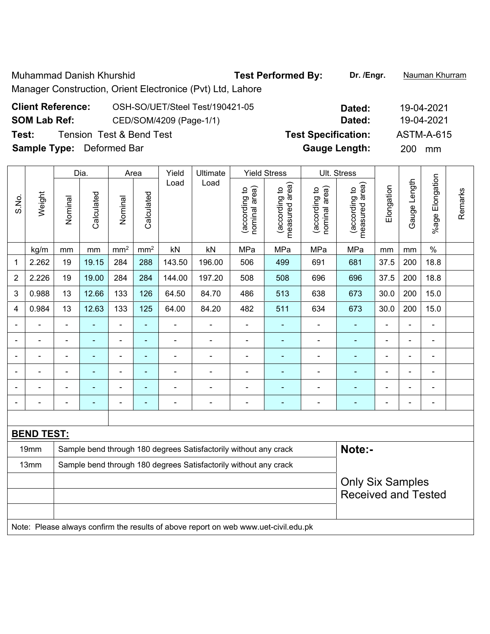Muhammad Danish Khurshid **Test Performed By: Dr. /Engr.** Nauman Khurram

Manager Construction, Orient Electronice (Pvt) Ltd, Lahore

## **Client Reference:** OSH-SO/UET/Steel Test/190421-05 **Dated:** 19-04-2021 **SOM Lab Ref:** CED/SOM/4209 (Page-1/1) **Dated:** 19-04-2021 **Test:** Tension Test & Bend Test **Test Specification:** ASTM-A-615 **Sample Type:** Deformed Bar **Gauge Length:** 200 mm

|                          |                   |                | Dia.<br>Area             |                 |                 | Yield                        | Ultimate                                                                            |                                | <b>Yield Stress</b>             | Ult. Stress                    |                                 |                |                              |                              |         |
|--------------------------|-------------------|----------------|--------------------------|-----------------|-----------------|------------------------------|-------------------------------------------------------------------------------------|--------------------------------|---------------------------------|--------------------------------|---------------------------------|----------------|------------------------------|------------------------------|---------|
| S.No.                    | Weight            | Nominal        | Calculated               | Nominal         | Calculated      | Load                         | Load                                                                                | nominal area)<br>(according to | measured area)<br>(according to | nominal area)<br>(according to | measured area)<br>(according to | Elongation     | Gauge Length                 | %age Elongation              | Remarks |
|                          | kg/m              | mm             | mm                       | mm <sup>2</sup> | mm <sup>2</sup> | kN                           | kN                                                                                  | MPa                            | MPa                             | MPa                            | MPa                             | mm             | mm                           | $\frac{0}{0}$                |         |
| 1                        | 2.262             | 19             | 19.15                    | 284             | 288             | 143.50                       | 196.00                                                                              | 506                            | 499                             | 691                            | 681                             | 37.5           | 200                          | 18.8                         |         |
| $\overline{2}$           | 2.226             | 19             | 19.00                    | 284             | 284             | 144.00                       | 197.20                                                                              | 508                            | 508                             | 696                            | 696                             | 37.5           | 200                          | 18.8                         |         |
| 3                        | 0.988             | 13             | 12.66                    | 133             | 126             | 64.50                        | 84.70                                                                               | 486                            | 513                             | 638                            | 673                             | 30.0           | 200                          | 15.0                         |         |
| 4                        | 0.984             | 13             | 12.63                    | 133             | 125             | 64.00                        | 84.20                                                                               | 482                            | 511                             | 634                            | 673                             | 30.0           | 200                          | 15.0                         |         |
|                          |                   | $\blacksquare$ | ä,                       | ÷,              | ÷,              | ÷,                           | $\overline{\phantom{a}}$                                                            | $\qquad \qquad \blacksquare$   | $\blacksquare$                  | $\blacksquare$                 |                                 | $\blacksquare$ | $\blacksquare$               | $\blacksquare$               |         |
|                          |                   | $\blacksquare$ | ÷                        | ÷               | $\blacksquare$  | ۰                            | $\blacksquare$                                                                      | $\blacksquare$                 | $\blacksquare$                  | $\blacksquare$                 | $\blacksquare$                  | $\blacksquare$ | $\blacksquare$               | $\blacksquare$               |         |
|                          | $\blacksquare$    | ٠              | ÷                        | ÷               | $\blacksquare$  | ۰                            | $\blacksquare$                                                                      | $\blacksquare$                 | $\blacksquare$                  | -                              | ٠                               | $\blacksquare$ | $\blacksquare$               | $\blacksquare$               |         |
|                          |                   |                |                          | ۰               | $\blacksquare$  | $\blacksquare$               |                                                                                     | $\blacksquare$                 | $\blacksquare$                  |                                |                                 |                | $\blacksquare$               | $\blacksquare$               |         |
|                          |                   |                |                          |                 |                 |                              |                                                                                     | $\blacksquare$                 |                                 |                                |                                 |                |                              |                              |         |
| $\overline{\phantom{0}}$ |                   |                | $\overline{\phantom{0}}$ | ۰               | $\blacksquare$  | $\qquad \qquad \blacksquare$ | $\blacksquare$                                                                      | -                              | $\overline{\phantom{0}}$        | -                              | $\blacksquare$                  | $\blacksquare$ | $\qquad \qquad \blacksquare$ | $\qquad \qquad \blacksquare$ |         |
|                          |                   |                |                          |                 |                 |                              |                                                                                     |                                |                                 |                                |                                 |                |                              |                              |         |
|                          | <b>BEND TEST:</b> |                |                          |                 |                 |                              |                                                                                     |                                |                                 |                                |                                 |                |                              |                              |         |
|                          | 19mm              |                |                          |                 |                 |                              | Sample bend through 180 degrees Satisfactorily without any crack                    |                                |                                 |                                | Note:-                          |                |                              |                              |         |
|                          | 13mm              |                |                          |                 |                 |                              | Sample bend through 180 degrees Satisfactorily without any crack                    |                                |                                 |                                |                                 |                |                              |                              |         |
|                          |                   |                |                          |                 |                 |                              |                                                                                     |                                |                                 |                                | <b>Only Six Samples</b>         |                |                              |                              |         |
|                          |                   |                |                          |                 |                 |                              |                                                                                     |                                |                                 | <b>Received and Tested</b>     |                                 |                |                              |                              |         |
|                          |                   |                |                          |                 |                 |                              |                                                                                     |                                |                                 |                                |                                 |                |                              |                              |         |
|                          |                   |                |                          |                 |                 |                              | Note: Please always confirm the results of above report on web www.uet-civil.edu.pk |                                |                                 |                                |                                 |                |                              |                              |         |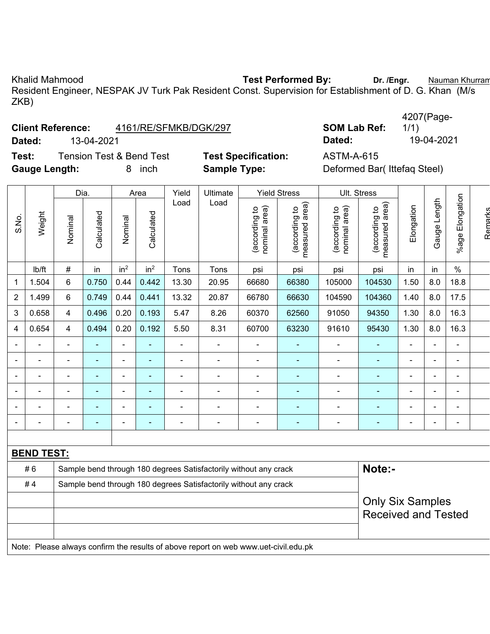Khalid Mahmood **Test Performed By:** Dr. /Engr. **Nauman Khurram** Chalid Mahmood **Dr. 7 and Alix Chalid Mahmood** Dr. /Engr. 2014 Resident Engineer, NESPAK JV Turk Pak Resident Const. Supervision for Establishment of D. G. Khan (M/s ZKB)

|        | <b>Client Reference:</b><br>4161/RE/SFMKB/DGK/297 |                            | <b>SOM Lab Ref:</b> |            |  |  |
|--------|---------------------------------------------------|----------------------------|---------------------|------------|--|--|
| Dated: | 13-04-2021                                        |                            | Dated:              | 19-04-2021 |  |  |
| Test:  | Tension Test & Bend Test                          | <b>Test Specification:</b> | ASTM-A-615          |            |  |  |

|                     | 4207(Page- |
|---------------------|------------|
| <b>SOM Lab Ref:</b> | 1/1)       |
| Dated:              | 19-04-202  |

 $\overline{\phantom{a}}$ 

**Test Specification:** ASTM-A-615<br> **Sample Type:** Deformed Ba

**Gauge Length:** 8 inch **Sample Type:** Deformed Bar( Ittefaq Steel)

| S.No.          |                | Dia.           |            | Area                     |                 | Yield                    | Ultimate                 |                                | <b>Yield Stress</b>             |                                | Ult. Stress                        |                |                          |                          |         |
|----------------|----------------|----------------|------------|--------------------------|-----------------|--------------------------|--------------------------|--------------------------------|---------------------------------|--------------------------------|------------------------------------|----------------|--------------------------|--------------------------|---------|
|                | Weight         | Nominal        | Calculated | Nominal                  | Calculated      | Load                     | Load                     | nominal area)<br>(according to | measured area)<br>(according to | nominal area)<br>(according to | area)<br>(according to<br>measured | Elongation     | Length<br>Gauge          | Elongation<br>$%$ age    | Remarks |
|                | lb/ft          | $\#$           | in         | in <sup>2</sup>          | in <sup>2</sup> | Tons                     | Tons                     | psi                            | psi                             | psi                            | psi                                | in             | in                       | $\%$                     |         |
| 1              | 1.504          | 6              | 0.750      | 0.44                     | 0.442           | 13.30                    | 20.95                    | 66680                          | 66380                           | 105000                         | 104530                             | 1.50           | 8.0                      | 18.8                     |         |
| $\overline{2}$ | 1.499          | 6              | 0.749      | 0.44                     | 0.441           | 13.32                    | 20.87                    | 66780                          | 66630                           | 104590                         | 104360                             | 1.40           | 8.0                      | 17.5                     |         |
| 3              | 0.658          | $\overline{4}$ | 0.496      | 0.20                     | 0.193           | 5.47                     | 8.26                     | 60370                          | 62560                           | 91050                          | 94350                              | 1.30           | 8.0                      | 16.3                     |         |
| 4              | 0.654          | 4              | 0.494      | 0.20                     | 0.192           | 5.50                     | 8.31                     | 60700                          | 63230                           | 91610                          | 95430                              | 1.30           | 8.0                      | 16.3                     |         |
| $\blacksquare$ |                | ۰              |            |                          |                 | $\blacksquare$           | $\blacksquare$           | ٠                              | ۰                               | ۰                              | $\blacksquare$                     | $\blacksquare$ | $\blacksquare$           | $\sim$                   |         |
|                |                | $\blacksquare$ | ٠          | $\overline{\phantom{0}}$ | $\blacksquare$  | $\overline{\phantom{0}}$ | $\overline{\phantom{0}}$ | $\overline{\phantom{0}}$       | ۰                               | $\overline{\phantom{0}}$       | $\blacksquare$                     | $\blacksquare$ | $\blacksquare$           | $\overline{\phantom{0}}$ |         |
| $\blacksquare$ |                | ۰              | ۰          | $\overline{\phantom{a}}$ |                 | -                        |                          |                                | ۰                               | $\overline{\phantom{0}}$       | $\qquad \qquad \blacksquare$       | $\blacksquare$ | $\blacksquare$           |                          |         |
| ٠              | $\blacksquare$ | ۰              | ۰          | $\overline{\phantom{a}}$ | $\blacksquare$  | $\blacksquare$           | $\overline{\phantom{0}}$ |                                | ۰                               | -                              | $\blacksquare$                     | $\blacksquare$ | $\blacksquare$           |                          |         |
| ۰              |                | $\blacksquare$ |            |                          |                 |                          |                          |                                |                                 |                                | -                                  | $\blacksquare$ | $\overline{\phantom{0}}$ |                          |         |
| $\blacksquare$ |                | ۰              | ۰          | $\overline{\phantom{a}}$ | $\blacksquare$  | $\blacksquare$           | $\blacksquare$           | -                              | ۰                               | -                              | $\blacksquare$                     | ۰              | $\blacksquare$           | $\overline{\phantom{0}}$ |         |
|                |                |                |            |                          |                 |                          |                          |                                |                                 |                                |                                    |                |                          |                          |         |

|    | <b>BEND TEST:</b>                                                                   |                            |  |  |  |  |  |  |  |  |  |  |
|----|-------------------------------------------------------------------------------------|----------------------------|--|--|--|--|--|--|--|--|--|--|
| #6 | Sample bend through 180 degrees Satisfactorily without any crack                    | Note:-                     |  |  |  |  |  |  |  |  |  |  |
| #4 | Sample bend through 180 degrees Satisfactorily without any crack                    |                            |  |  |  |  |  |  |  |  |  |  |
|    |                                                                                     | <b>Only Six Samples</b>    |  |  |  |  |  |  |  |  |  |  |
|    |                                                                                     | <b>Received and Tested</b> |  |  |  |  |  |  |  |  |  |  |
|    |                                                                                     |                            |  |  |  |  |  |  |  |  |  |  |
|    | Note: Please always confirm the results of above report on web www.uet-civil.edu.pk |                            |  |  |  |  |  |  |  |  |  |  |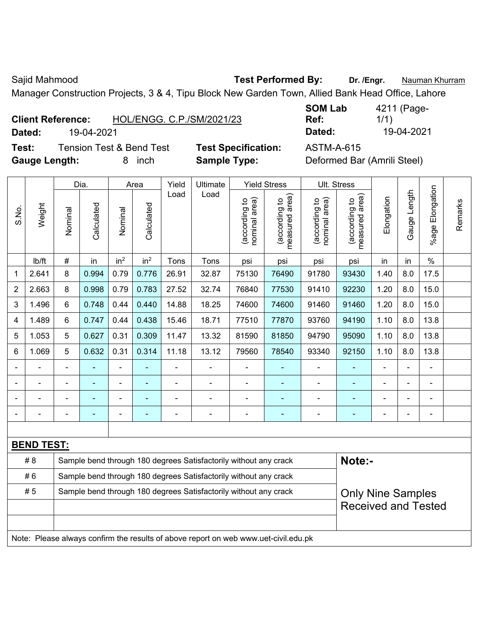Sajid Mahmood **Test Performed By:** Dr. /Engr. **Nauman Khurram** 

Manager Construction Projects, 3 & 4, Tipu Block New Garden Town, Allied Bank Head Office, Lahore

| <b>Client Reference:</b> | HOL/ENGG. C.P./SM/2021/23 |
|--------------------------|---------------------------|
|                          |                           |

**Test:** Tension Test & Bend Test **Test Specification:** ASTM-A-615 **Gauge Length:** 8 inch **Sample Type:** Deformed Bar (Amrili Steel)

**SOM Lab Ref:**  4211 (Page-1/1) **Dated:** 19-04-2021 **Dated:** 19-04-2021

|       |                   |         | Dia.           |                 | Area            | Yield | Ultimate                                                                            |                                | <b>Yield Stress</b>             |                                | Ult. Stress                                            |            |                  |                       |         |
|-------|-------------------|---------|----------------|-----------------|-----------------|-------|-------------------------------------------------------------------------------------|--------------------------------|---------------------------------|--------------------------------|--------------------------------------------------------|------------|------------------|-----------------------|---------|
| S.No. | Weight            | Nominal | Calculated     | Nominal         | Calculated      | Load  | Load                                                                                | (according to<br>nominal area) | (according to<br>measured area) | (according to<br>nominal area) | (according to<br>measured area)                        | Elongation | auge Length<br>Ő | Elongation<br>$%$ age | Remarks |
|       | lb/ft             | #       | in             | in <sup>2</sup> | in <sup>2</sup> | Tons  | Tons                                                                                | psi                            | psi                             | psi                            | psi                                                    | in         | in               | $\%$                  |         |
| 1     | 2.641             | 8       | 0.994          | 0.79            | 0.776           | 26.91 | 32.87                                                                               | 75130                          | 76490                           | 91780                          | 93430                                                  | 1.40       | 8.0              | 17.5                  |         |
| 2     | 2.663             | 8       | 0.998          | 0.79            | 0.783           | 27.52 | 32.74                                                                               | 76840                          | 77530                           | 91410                          | 92230                                                  | 1.20       | 8.0              | 15.0                  |         |
| 3     | 1.496             | 6       | 0.748          | 0.44            | 0.440           | 14.88 | 18.25                                                                               | 74600                          | 74600                           | 91460                          | 91460                                                  | 1.20       | 8.0              | 15.0                  |         |
| 4     | 1.489             | 6       | 0.747          | 0.44            | 0.438           | 15.46 | 18.71                                                                               | 77510                          | 77870                           | 93760                          | 94190                                                  | 1.10       | 8.0              | 13.8                  |         |
| 5     | 1.053             | 5       | 0.627          | 0.31            | 0.309           | 11.47 | 13.32                                                                               | 81590                          | 81850                           | 94790                          | 95090                                                  | 1.10       | 8.0              | 13.8                  |         |
| 6     | 1.069             | 5       | 0.632          | 0.31            | 0.314           | 11.18 | 13.12                                                                               | 79560                          | 78540                           | 93340                          | 92150                                                  | 1.10       | 8.0              | 13.8                  |         |
|       |                   |         |                |                 |                 |       |                                                                                     | $\blacksquare$                 |                                 | $\blacksquare$                 |                                                        |            |                  |                       |         |
|       |                   | ä,      | ۳              | $\blacksquare$  | $\blacksquare$  | ä,    | $\blacksquare$                                                                      | ÷,                             | $\overline{\phantom{0}}$        | $\blacksquare$                 |                                                        |            | ä,               | $\blacksquare$        |         |
|       |                   |         | $\blacksquare$ | $\blacksquare$  |                 |       | $\blacksquare$                                                                      | $\overline{\phantom{0}}$       | $\overline{\phantom{a}}$        | $\blacksquare$                 | ٠                                                      |            |                  | $\blacksquare$        |         |
|       |                   |         | $\blacksquare$ | $\blacksquare$  |                 |       |                                                                                     | $\blacksquare$                 | $\blacksquare$                  | $\blacksquare$                 | ÷                                                      |            |                  | $\blacksquare$        |         |
|       |                   |         |                |                 |                 |       |                                                                                     |                                |                                 |                                |                                                        |            |                  |                       |         |
|       | <b>BEND TEST:</b> |         |                |                 |                 |       |                                                                                     |                                |                                 |                                |                                                        |            |                  |                       |         |
|       | #8                |         |                |                 |                 |       | Sample bend through 180 degrees Satisfactorily without any crack                    |                                |                                 |                                | Note:-                                                 |            |                  |                       |         |
|       | #6                |         |                |                 |                 |       | Sample bend through 180 degrees Satisfactorily without any crack                    |                                |                                 |                                |                                                        |            |                  |                       |         |
|       | #5                |         |                |                 |                 |       | Sample bend through 180 degrees Satisfactorily without any crack                    |                                |                                 |                                | <b>Only Nine Samples</b><br><b>Received and Tested</b> |            |                  |                       |         |
|       |                   |         |                |                 |                 |       |                                                                                     |                                |                                 |                                |                                                        |            |                  |                       |         |
|       |                   |         |                |                 |                 |       |                                                                                     |                                |                                 |                                |                                                        |            |                  |                       |         |
|       |                   |         |                |                 |                 |       | Note: Please always confirm the results of above report on web www.uet-civil.edu.pk |                                |                                 |                                |                                                        |            |                  |                       |         |